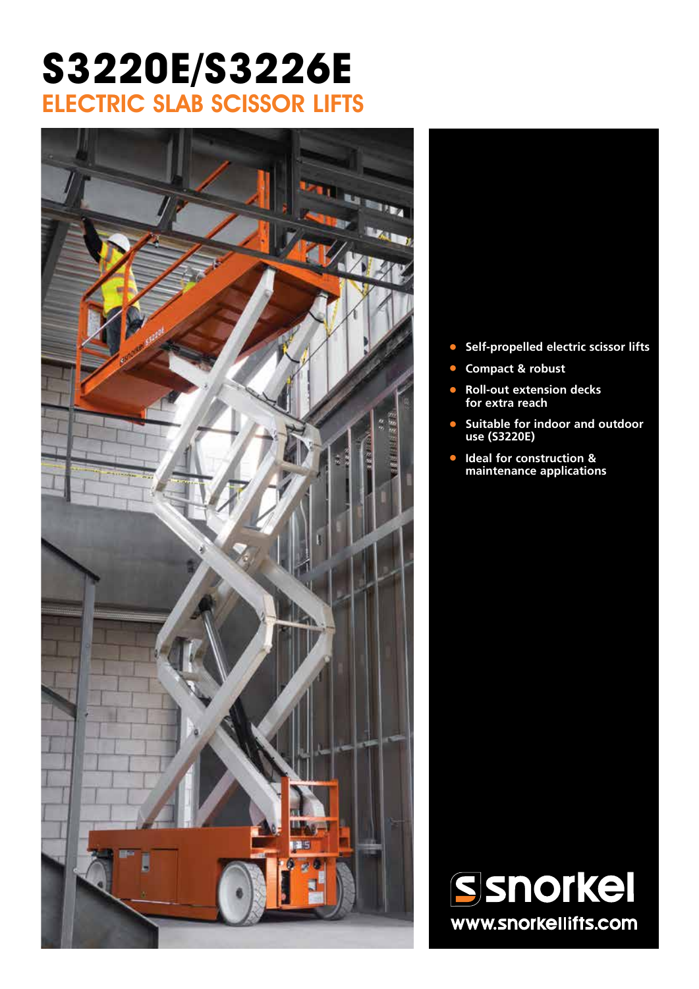## **S3220E/S3226E** ELECTRIC SLAB SCISSOR LIFTS



- **• Self-propelled electric scissor lifts**
- **• Compact & robust**
- **• Roll-out extension decks for extra reach**
- **• Suitable for indoor and outdoor use (S3220E)**
- **• Ideal for construction & maintenance applications**